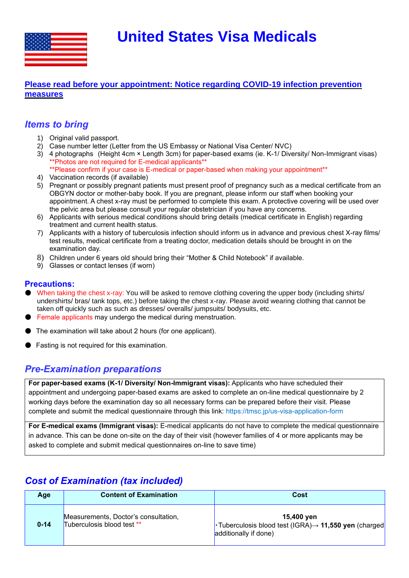**United States Visa Medicals**



### **[Please read before your appointment: Notice regarding COVID-19 infection prevention](https://tmsc.jp/notice-regarding-covid-19-infection-prevention-measures)  [measures](https://tmsc.jp/notice-regarding-covid-19-infection-prevention-measures)**

## *Items to bring*

- 1) Original valid passport.
- 2) Case number letter (Letter from the US Embassy or National Visa Center/ NVC)
- 3) 4 photographs (Height 4cm × Length 3cm) for paper-based exams (ie. K-1/ Diversity/ Non-Immigrant visas) \*\*Photos are not required for E-medical applicants\*\*
	- \*\*Please confirm if your case is E-medical or paper-based when making your appointment\*\*
- 4) Vaccination records (if available)
- 5) Pregnant or possibly pregnant patients must present proof of pregnancy such as a medical certificate from an OBGYN doctor or mother-baby book. If you are pregnant, please inform our staff when booking your appointment. A chest x-ray must be performed to complete this exam. A protective covering will be used over the pelvic area but please consult your regular obstetrician if you have any concerns.
- 6) Applicants with serious medical conditions should bring details (medical certificate in English) regarding treatment and current health status.
- 7) Applicants with a history of tuberculosis infection should inform us in advance and previous chest X-ray films/ test results, medical certificate from a treating doctor, medication details should be brought in on the examination day.
- 8) Children under 6 years old should bring their "Mother & Child Notebook" if available.
- 9) Glasses or contact lenses (if worn)

### **Precautions:**

- When taking the chest x-ray: You will be asked to remove clothing covering the upper body (including shirts/ undershirts/ bras/ tank tops, etc.) before taking the chest x-ray. Please avoid wearing clothing that cannot be taken off quickly such as such as dresses/ overalls/ jumpsuits/ bodysuits, etc.
- Female applicants may undergo the medical during menstruation.
- The examination will take about 2 hours (for one applicant).
- Fasting is not required for this examination.

## *Pre-Examination preparations*

**For paper-based exams (K-1/ Diversity/ Non-Immigrant visas):** Applicants who have scheduled their appointment and undergoing paper-based exams are asked to complete an on-line medical questionnaire by 2 working days before the examination day so all necessary forms can be prepared before their visit. Please complete and submit the medical questionnaire through this link: https://tmsc.jp/us-visa-application-form

**For E-medical exams (Immigrant visas):** E-medical applicants do not have to complete the medical questionnaire in advance. This can be done on-site on the day of their visit (however families of 4 or more applicants may be asked to complete and submit medical questionnaires on-line to save time)

# *Cost of Examination (tax included)*

| Age      | <b>Content of Examination</b>                                      | Cost                                                                                                             |
|----------|--------------------------------------------------------------------|------------------------------------------------------------------------------------------------------------------|
| $0 - 14$ | Measurements, Doctor's consultation,<br>Tuberculosis blood test ** | 15,400 yen<br>$\cdot$ Tuberculosis blood test (IGRA) $\rightarrow$ 11,550 yen (charged)<br>additionally if done) |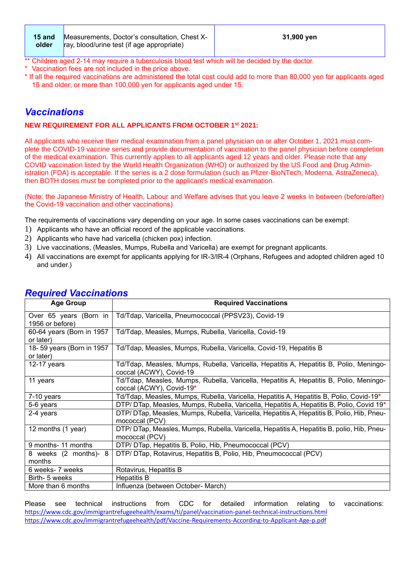| 15 and | Measurements, Doctor's consultation, Chest X-      | 31,900 yen |
|--------|----------------------------------------------------|------------|
| older  | $\vert$ ray, blood/urine test (if age appropriate) |            |

- Children aged 2-14 may require a tuberculosis blood test which will be decided by the doctor.
- \* Vaccination fees are not included in the price above.
- \* If all the required vaccinations are administered the total cost could add to more than 80,000 yen for applicants aged 15 and older; or more than 100,000 yen for applicants aged under 15.

# *Vaccinations*

#### **NEW REQUIREMENT FOR ALL APPLICANTS FROM OCTOBER 1st 2021:**

All applicants who receive their medical examination from a panel physician on or after October 1, 2021 must complete the COVID-19 vaccine series and provide documentation of vaccination to the panel physician before completion of the medical examination. This currently applies to all applicants aged 12 years and older. Please note that any COVID vaccination listed by the World Health Organization (WHO) or authorized by the US Food and Drug Administration (FDA) is acceptable. If the series is a 2 dose formulation (such as Pfizer-BioNTech, Moderna, AstraZeneca), then BOTH doses must be completed prior to the applicant's medical examination.

(Note: the Japanese Ministry of Health, Labour and Welfare advises that you leave 2 weeks in between (before/after) the Covid-19 vaccination and other vaccinations)

The requirements of vaccinations vary depending on your age. In some cases vaccinations can be exempt:

- 1) Applicants who have an official record of the applicable vaccinations.
- 2) Applicants who have had varicella (chicken pox) infection.
- 3) Live vaccinations, (Measles, Mumps, Rubella and Varicella) are exempt for pregnant applicants.
- 4) All vaccinations are exempt for applicants applying for IR-3/IR-4 (Orphans, Refugees and adopted children aged 10 and under.)

| <b>Age Group</b>          | <b>Required Vaccinations</b>                                                               |
|---------------------------|--------------------------------------------------------------------------------------------|
| Over 65 years (Born in    | Td/Tdap, Varicella, Pneumococcal (PPSV23), Covid-19                                        |
| 1956 or before)           |                                                                                            |
| 60-64 years (Born in 1957 | Td/Tdap, Measles, Mumps, Rubella, Varicella, Covid-19                                      |
| or later)                 |                                                                                            |
| 18-59 years (Born in 1957 | Td/Tdap, Measles, Mumps, Rubella, Varicella, Covid-19, Hepatitis B                         |
| or later)                 |                                                                                            |
| 12-17 years               | Td/Tdap, Measles, Mumps, Rubella, Varicella, Hepatitis A, Hepatitis B, Polio, Meningo-     |
|                           | coccal (ACWY), Covid-19                                                                    |
| 11 years                  | Td/Tdap, Measles, Mumps, Rubella, Varicella, Hepatitis A, Hepatitis B, Polio, Meningo-     |
|                           | coccal (ACWY), Covid-19*                                                                   |
| $7-10$ years              | Td/Tdap, Measles, Mumps, Rubella, Varicella, Hepatitis A, Hepatitis B, Polio, Covid-19*    |
| 5-6 years                 | DTP/ DTap, Measles, Mumps, Rubella, Varicella, Hepatitis A, Hepatitis B, Polio, Covid 19*  |
| 2-4 years                 | DTP/DTap, Measles, Mumps, Rubella, Varicella, Hepatitis A, Hepatitis B, Polio, Hib, Pneu-  |
|                           | mococcal (PCV)                                                                             |
| 12 months (1 year)        | DTP/ DTap, Measles, Mumps, Rubella, Varicella, Hepatitis A, Hepatitis B, polio, Hib, Pneu- |
|                           | mococcal (PCV)                                                                             |
| 9 months- 11 months       | DTP/ DTap, Hepatitis B, Polio, Hib, Pneumococcal (PCV)                                     |
| 8 weeks (2 months)- 8     | DTP/ DTap, Rotavirus, Hepatitis B, Polio, Hib, Pneumococcal (PCV)                          |
| months                    |                                                                                            |
| 6 weeks- 7 weeks          | Rotavirus, Hepatitis B                                                                     |
| Birth- 5 weeks            | <b>Hepatitis B</b>                                                                         |
| More than 6 months        | Influenza (between October- March)                                                         |

## *Required Vaccinations*

Please see technical instructions from CDC for detailed information relating to vaccinations: <https://www.cdc.gov/immigrantrefugeehealth/exams/ti/panel/vaccination-panel-technical-instructions.html> <https://www.cdc.gov/immigrantrefugeehealth/pdf/Vaccine-Requirements-According-to-Applicant-Age-p.pdf>